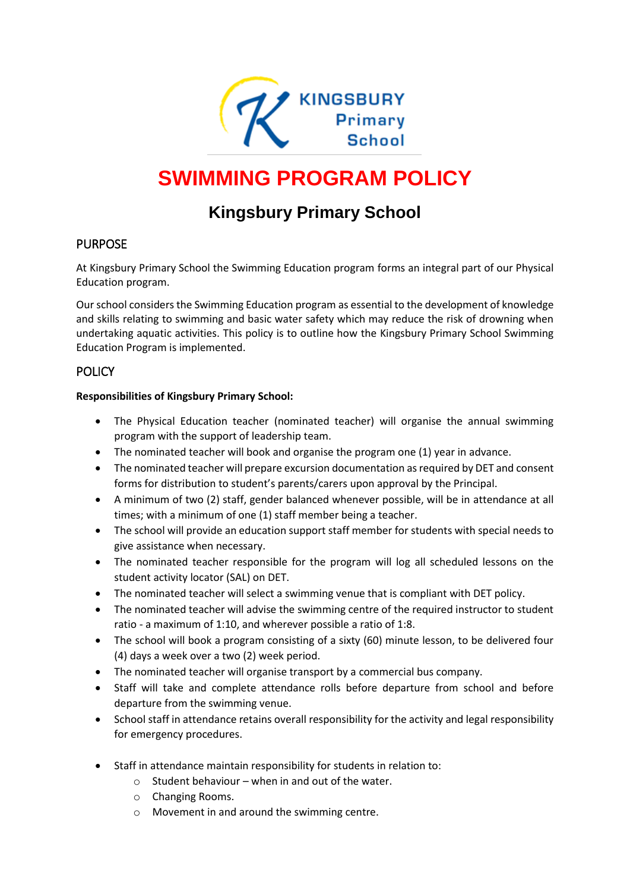

# **SWIMMING PROGRAM POLICY**

# **Kingsbury Primary School**

## PURPOSE

At Kingsbury Primary School the Swimming Education program forms an integral part of our Physical Education program.

Our school considers the Swimming Education program as essential to the development of knowledge and skills relating to swimming and basic water safety which may reduce the risk of drowning when undertaking aquatic activities. This policy is to outline how the Kingsbury Primary School Swimming Education Program is implemented.

## **POLICY**

#### **Responsibilities of Kingsbury Primary School:**

- The Physical Education teacher (nominated teacher) will organise the annual swimming program with the support of leadership team.
- The nominated teacher will book and organise the program one (1) year in advance.
- The nominated teacher will prepare excursion documentation as required by DET and consent forms for distribution to student's parents/carers upon approval by the Principal.
- A minimum of two (2) staff, gender balanced whenever possible, will be in attendance at all times; with a minimum of one (1) staff member being a teacher.
- The school will provide an education support staff member for students with special needs to give assistance when necessary.
- The nominated teacher responsible for the program will log all scheduled lessons on the student activity locator (SAL) on DET.
- The nominated teacher will select a swimming venue that is compliant with DET policy.
- The nominated teacher will advise the swimming centre of the required instructor to student ratio - a maximum of 1:10, and wherever possible a ratio of 1:8.
- The school will book a program consisting of a sixty (60) minute lesson, to be delivered four (4) days a week over a two (2) week period.
- The nominated teacher will organise transport by a commercial bus company.
- Staff will take and complete attendance rolls before departure from school and before departure from the swimming venue.
- School staff in attendance retains overall responsibility for the activity and legal responsibility for emergency procedures.
- Staff in attendance maintain responsibility for students in relation to:
	- $\circ$  Student behaviour when in and out of the water.
	- o Changing Rooms.
	- o Movement in and around the swimming centre.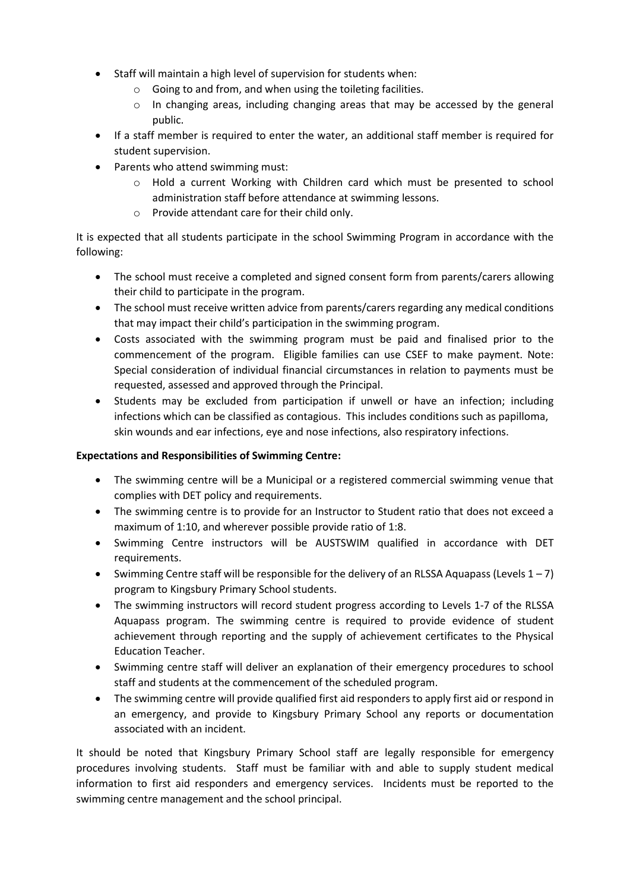- Staff will maintain a high level of supervision for students when:
	- o Going to and from, and when using the toileting facilities.
	- $\circ$  In changing areas, including changing areas that may be accessed by the general public.
- If a staff member is required to enter the water, an additional staff member is required for student supervision.
- Parents who attend swimming must:
	- o Hold a current Working with Children card which must be presented to school administration staff before attendance at swimming lessons.
	- o Provide attendant care for their child only.

It is expected that all students participate in the school Swimming Program in accordance with the following:

- The school must receive a completed and signed consent form from parents/carers allowing their child to participate in the program.
- The school must receive written advice from parents/carers regarding any medical conditions that may impact their child's participation in the swimming program.
- Costs associated with the swimming program must be paid and finalised prior to the commencement of the program. Eligible families can use CSEF to make payment. Note: Special consideration of individual financial circumstances in relation to payments must be requested, assessed and approved through the Principal.
- Students may be excluded from participation if unwell or have an infection; including infections which can be classified as contagious. This includes conditions such as papilloma, skin wounds and ear infections, eye and nose infections, also respiratory infections.

#### **Expectations and Responsibilities of Swimming Centre:**

- The swimming centre will be a Municipal or a registered commercial swimming venue that complies with DET policy and requirements.
- The swimming centre is to provide for an Instructor to Student ratio that does not exceed a maximum of 1:10, and wherever possible provide ratio of 1:8.
- Swimming Centre instructors will be AUSTSWIM qualified in accordance with DET requirements.
- Swimming Centre staff will be responsible for the delivery of an RLSSA Aquapass (Levels  $1 7$ ) program to Kingsbury Primary School students.
- The swimming instructors will record student progress according to Levels 1-7 of the RLSSA Aquapass program. The swimming centre is required to provide evidence of student achievement through reporting and the supply of achievement certificates to the Physical Education Teacher.
- Swimming centre staff will deliver an explanation of their emergency procedures to school staff and students at the commencement of the scheduled program.
- The swimming centre will provide qualified first aid responders to apply first aid or respond in an emergency, and provide to Kingsbury Primary School any reports or documentation associated with an incident.

It should be noted that Kingsbury Primary School staff are legally responsible for emergency procedures involving students. Staff must be familiar with and able to supply student medical information to first aid responders and emergency services. Incidents must be reported to the swimming centre management and the school principal.